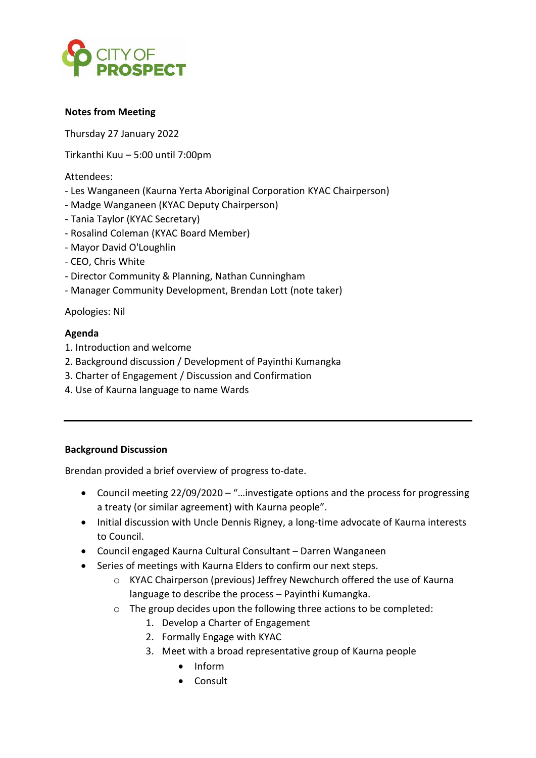

## **Notes from Meeting**

Thursday 27 January 2022

Tirkanthi Kuu – 5:00 until 7:00pm

Attendees:

- Les Wanganeen (Kaurna Yerta Aboriginal Corporation KYAC Chairperson)
- Madge Wanganeen (KYAC Deputy Chairperson)
- Tania Taylor (KYAC Secretary)
- Rosalind Coleman (KYAC Board Member)
- Mayor David O'Loughlin
- CEO, Chris White
- Director Community & Planning, Nathan Cunningham
- Manager Community Development, Brendan Lott (note taker)

Apologies: Nil

### **Agenda**

- 1. Introduction and welcome
- 2. Background discussion / Development of Payinthi Kumangka
- 3. Charter of Engagement / Discussion and Confirmation
- 4. Use of Kaurna language to name Wards

### **Background Discussion**

Brendan provided a brief overview of progress to-date.

- Council meeting 22/09/2020 "…investigate options and the process for progressing a treaty (or similar agreement) with Kaurna people".
- Initial discussion with Uncle Dennis Rigney, a long-time advocate of Kaurna interests to Council.
- Council engaged Kaurna Cultural Consultant Darren Wanganeen
- Series of meetings with Kaurna Elders to confirm our next steps.
	- o KYAC Chairperson (previous) Jeffrey Newchurch offered the use of Kaurna language to describe the process – Payinthi Kumangka.
	- o The group decides upon the following three actions to be completed:
		- 1. Develop a Charter of Engagement
		- 2. Formally Engage with KYAC
		- 3. Meet with a broad representative group of Kaurna people
			- Inform
			- Consult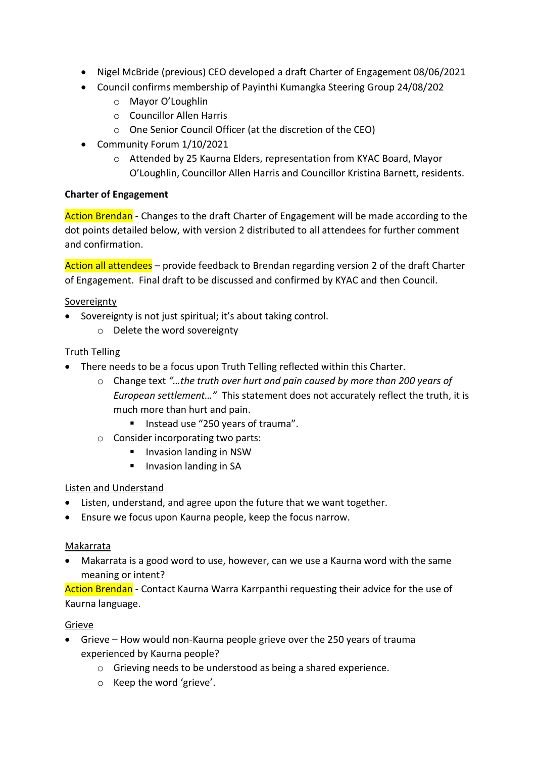- Nigel McBride (previous) CEO developed a draft Charter of Engagement 08/06/2021
- Council confirms membership of Payinthi Kumangka Steering Group 24/08/202
	- o Mayor O'Loughlin
	- o Councillor Allen Harris
	- o One Senior Council Officer (at the discretion of the CEO)
- Community Forum 1/10/2021
	- o Attended by 25 Kaurna Elders, representation from KYAC Board, Mayor O'Loughlin, Councillor Allen Harris and Councillor Kristina Barnett, residents.

## **Charter of Engagement**

Action Brendan - Changes to the draft Charter of Engagement will be made according to the dot points detailed below, with version 2 distributed to all attendees for further comment and confirmation.

Action all attendees – provide feedback to Brendan regarding version 2 of the draft Charter of Engagement. Final draft to be discussed and confirmed by KYAC and then Council.

## Sovereignty

- Sovereignty is not just spiritual; it's about taking control.
	- o Delete the word sovereignty

## Truth Telling

- There needs to be a focus upon Truth Telling reflected within this Charter.
	- o Change text *"…the truth over hurt and pain caused by more than 200 years of European settlement…"* This statement does not accurately reflect the truth, it is much more than hurt and pain.
		- Instead use "250 years of trauma".
	- o Consider incorporating two parts:
		- Invasion landing in NSW
		- Invasion landing in SA

### Listen and Understand

- Listen, understand, and agree upon the future that we want together.
- Ensure we focus upon Kaurna people, keep the focus narrow.

### Makarrata

• Makarrata is a good word to use, however, can we use a Kaurna word with the same meaning or intent?

Action Brendan - Contact Kaurna Warra Karrpanthi requesting their advice for the use of Kaurna language.

### Grieve

- Grieve How would non-Kaurna people grieve over the 250 years of trauma experienced by Kaurna people?
	- o Grieving needs to be understood as being a shared experience.
	- o Keep the word 'grieve'.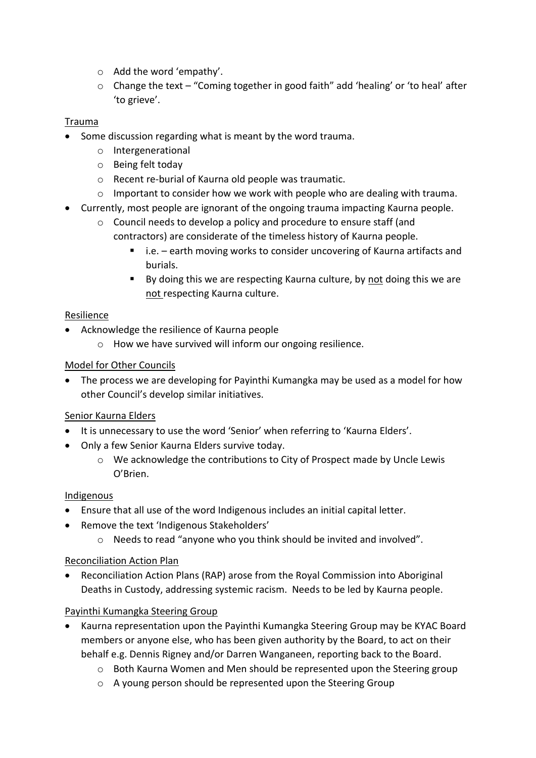- o Add the word 'empathy'.
- o Change the text "Coming together in good faith" add 'healing' or 'to heal' after 'to grieve'.

# Trauma

- Some discussion regarding what is meant by the word trauma.
	- o Intergenerational
	- o Being felt today
	- o Recent re-burial of Kaurna old people was traumatic.
	- $\circ$  Important to consider how we work with people who are dealing with trauma.
- Currently, most people are ignorant of the ongoing trauma impacting Kaurna people.
	- o Council needs to develop a policy and procedure to ensure staff (and contractors) are considerate of the timeless history of Kaurna people.
		- i.e. earth moving works to consider uncovering of Kaurna artifacts and burials.
		- By doing this we are respecting Kaurna culture, by not doing this we are not respecting Kaurna culture.

# Resilience

- Acknowledge the resilience of Kaurna people
	- o How we have survived will inform our ongoing resilience.

# Model for Other Councils

• The process we are developing for Payinthi Kumangka may be used as a model for how other Council's develop similar initiatives.

# Senior Kaurna Elders

- It is unnecessary to use the word 'Senior' when referring to 'Kaurna Elders'.
- Only a few Senior Kaurna Elders survive today.
	- o We acknowledge the contributions to City of Prospect made by Uncle Lewis O'Brien.

# Indigenous

- Ensure that all use of the word Indigenous includes an initial capital letter.
- Remove the text 'Indigenous Stakeholders'
	- o Needs to read "anyone who you think should be invited and involved".

# Reconciliation Action Plan

• Reconciliation Action Plans (RAP) arose from the Royal Commission into Aboriginal Deaths in Custody, addressing systemic racism. Needs to be led by Kaurna people.

# Payinthi Kumangka Steering Group

- Kaurna representation upon the Payinthi Kumangka Steering Group may be KYAC Board members or anyone else, who has been given authority by the Board, to act on their behalf e.g. Dennis Rigney and/or Darren Wanganeen, reporting back to the Board.
	- $\circ$  Both Kaurna Women and Men should be represented upon the Steering group
	- o A young person should be represented upon the Steering Group